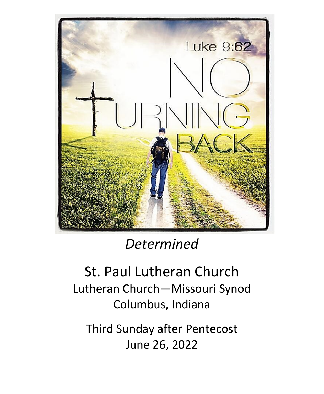

# *Determined*

# St. Paul Lutheran Church Lutheran Church—Missouri Synod Columbus, Indiana

Third Sunday after Pentecost June 26, 2022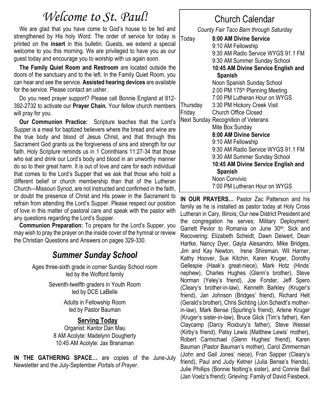# *Welcome to St. Paul!*

We are glad that you have come to God's house to be fed and strengthened by His holy Word. The order of service for today is printed on the **insert** in this bulletin. Guests, we extend a special welcome to you this morning. We are privileged to have you as our guest today and encourage you to worship with us again soon.

**The Family Quiet Room and Restroom** are located outside the doors of the sanctuary and to the left. In the Family Quiet Room, you can hear and see the service. **Assisted hearing devices** are available for the service. Please contact an usher.

Do you need prayer support? Please call Bonnie England at 812- 392-2732 to activate our **Prayer Chain.** Your fellow church members will pray for you.

**Our Communion Practice:** Scripture teaches that the Lord's Supper is a meal for baptized believers where the bread and wine are the true body and blood of Jesus Christ, and that through this Sacrament God grants us the forgiveness of sins and strength for our faith. Holy Scripture reminds us in 1 Corinthians 11:27-34 that those who eat and drink our Lord's body and blood in an unworthy manner do so to their great harm. It is out of love and care for each individual that comes to the Lord's Supper that we ask that those who hold a different belief or church membership than that of the Lutheran Church—Missouri Synod, are not instructed and confirmed in the faith, or doubt the presence of Christ and His power in the Sacrament to refrain from attending the Lord's Supper. Please respect our position of love in this matter of pastoral care and speak with the pastor with any questions regarding the Lord's Supper.

**Communion Preparation:** To prepare for the Lord's Supper, you may wish to pray the prayer on the inside cover of the hymnal or review the Christian Questions and Answers on pages 329-330.

### *Summer Sunday School*

Ages three-sixth grade in corner Sunday School room led by the Wofford family

> Seventh-twelfth graders in Youth Room led by DCE LaBelle

> > Adults in Fellowship Room led by Pastor Bauman

#### **Serving Today**

Organist: Kantor Dan Mau 8 AM Acolyte: Madelynn Dougherty 10:45 AM Acolyte: Jax Branaman

**IN THE GATHERING SPACE…** are copies of the June-July Newsletter and the July-September *Portals of Prayer.* 

## Church Calendar

*County Fair Taco Barn through Saturday* Today **8:00 AM Divine Service** 9:10 AM Fellowship 9:30 AM Radio Service WYGS 91.1 FM 9:30 AM Summer Sunday School **10:45 AM Divine Service English and Spanish** Noon Spanish Sunday School 2:00 PM 175th Planning Meeting 7:00 PM Lutheran Hour on WYGS Thursday 3:30 PM Hickory Creek Visit Friday Church Office Closed Next Sunday Recognition of Veterans Mite Box Sunday **8:00 AM Divine Service** 9:10 AM Fellowship 9:30 AM Radio Service WYGS 91.1 FM 9:30 AM Summer Sunday School **10:45 AM Divine Service English and Spanish** Noon Convivio 7:00 PM Lutheran Hour on WYGS

**IN OUR PRAYERS…** Pastor Zac Patterson and his family as he is installed as pastor today at Holy Cross Lutheran in Cary, Illinois; Our new District President and the congregation he serves; Military Deployment: Garrett Pevlor to Romania on June 30<sup>th</sup>; Sick and Recovering: Elizabeth Scheidt, Dawn Deiwert, Dean Hartke, Nancy Dyer, Gayla Alesandro, Mike Bridges, Jim and Kay Newton, Irene Shireman, Wil Harner, Kathy Hoover, Sue Kitchin, Karen Kruger, Dorothy Gellespie (Haak's great-niece), Mark Hotz (Hinds' nephew), Charles Hughes (Glenn's brother), Steve Norman (Yeley's friend), Joe Forster, Jeff Spero (Cleary's brother-in-law), Kenneth Barkley (Kruger's friend), Jan Johnson (Bridges' friend), Richard Helt (Gerald's brother), Chris Sichting (Jon Scheidt's motherin-law), Mark Bense (Spurling's friend), Arlene Kruger (Kruger's sister-in-law), Bruce Glick (Tim's father), Ken Claycamp (Darcy Roxbury's father), Steve Wessel (Kirby's friend), Patsy Lewis (Matthew Lewis' mother), Robert Carmichael (Glenn Hughes' friend), Karen Bauman (Pastor Bauman's mother), Carol Zimmerman (John and Gail Jones' niece), Fran Sapper (Cleary's friend), Paul and Judy Ketner (Julia Bense's friends), Julie Phillips (Bonnie Nolting's sister), and Connie Ball (Jan Voelz's friend); Grieving: Family of David Fiesbeck.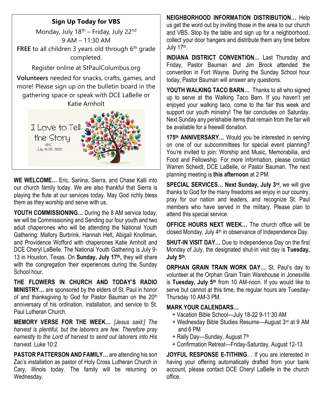#### **Sign Up Today for VBS**

Monday, July 18<sup>th</sup> – Friday, July 22<sup>nd</sup> 9 AM – 11:30 AM **FREE** to all children 3 years old through 6<sup>th</sup> grade completed.

Register online at StPaulColumbus.org

**Volunteers** needed for snacks, crafts, games, and more! Please sign up on the bulletin board in the gathering space or speak with DCE LaBelle or Katie Arnholt



**WE WELCOME…** Eric, Sariina, Sierra, and Chase Kalli into our church family today. We are also thankful that Sierra is playing the flute at our services today. May God richly bless them as they worship and serve with us.

**YOUTH COMMISSIONING…** During the 8 AM service today, we will be Commissioning and Sending our four youth and two adult chaperones who will be attending the National Youth Gathering: Mallory Burbrink, Hannah Helt, Abigail Knollman, and Providence Wofford with chaperones Katie Arnholt and DCE Cheryl LaBelle. The National Youth Gathering is July 9- 13 in Houston, Texas. On **Sunday, July 17th ,** they will share with the congregation their experiences during the Sunday School hour.

**THE FLOWERS IN CHURCH AND TODAY'S RADIO MINISTRY…** are sponsored by the elders of St. Paul in honor of and thanksgiving to God for Pastor Bauman on the 20<sup>th</sup> anniversary of his ordination, installation, and service to St. Paul Lutheran Church.

**MEMORY VERSE FOR THE WEEK…** *[Jesus said:] The harvest is plentiful, but the laborers are few. Therefore pray earnestly to the Lord of harvest to send out laborers into His harvest.* Luke 10:2

**PASTOR PATTERSON AND FAMILY…** are attending his son Zac's installation as pastor of Holy Cross Lutheran Church in Cary, Illinois today. The family will be returning on Wednesday.

**NEIGHBORHOOD INFORMATION DISTRIBUTION…** Help us get the word out by inviting those in the area to our church and VBS. Stop by the table and sign up for a neighborhood, collect your door hangers and distribute them any time before July 17<sup>th</sup>.

**INDIANA DISTRICT CONVENTION…** Last Thursday and Friday, Pastor Bauman and Jim Brock attended the convention in Fort Wayne. During the Sunday School hour today, Pastor Bauman will answer any questions.

**YOUTH WALKING TACO BARN...** Thanks to all who signed up to serve at the Walking Taco Barn. If you haven't yet enjoyed your walking taco, come to the fair this week and support our youth ministry! The fair concludes on Saturday. Next Sunday any perishable items that remain from the fair will be available for a freewill donation.

**175th ANNIVERSARY…** Would you be interested in serving on one of our subcommittees for special event planning? You're invited to join: Worship and Music, Memorabilia, and Food and Fellowship. For more information, please contact Warren Scheidt, DCE LaBelle, or Pastor Bauman. The next planning meeting is **this afternoon** at 2 PM.

**SPECIAL SERVICES… Next Sunday, July 3rd ,** we will give thanks to God for the many freedoms we enjoy in our country, pray for our nation and leaders, and recognize St. Paul members who have served in the military. Please plan to attend this special service.

**OFFICE HOURS NEXT WEEK…** The church office will be closed Monday, July 4<sup>th</sup> in observance of Independence Day.

**SHUT-IN VISIT DAY…** Due to Independence Day on the first Monday of July, the designated shut-in visit day is **Tuesday, July 5th .** 

**ORPHAN GRAIN TRAIN WORK DAY…** St. Paul's day to volunteer at the Orphan Grain Train Warehouse in Jonesville is **Tuesday, July 5th** from 10 AM-noon. If you would like to serve but cannot at this time, the regular hours are Tuesday-Thursday 10 AM-3 PM.

#### **MARK YOUR CALENDARS…**

- + Vacation Bible School—July 18-22 9-11:30 AM
- + Wednesday Bible Studies Resume—August 3rd at 9 AM and 6 PM
- + Rally Day—Sunday, August 7th
- + Confirmation Retreat—Friday-Saturday, August 12-13

**JOYFUL RESPONSE E-TITHING**… If you are interested in having your offering automatically drafted from your bank account, please contact DCE Cheryl LaBelle in the church office.